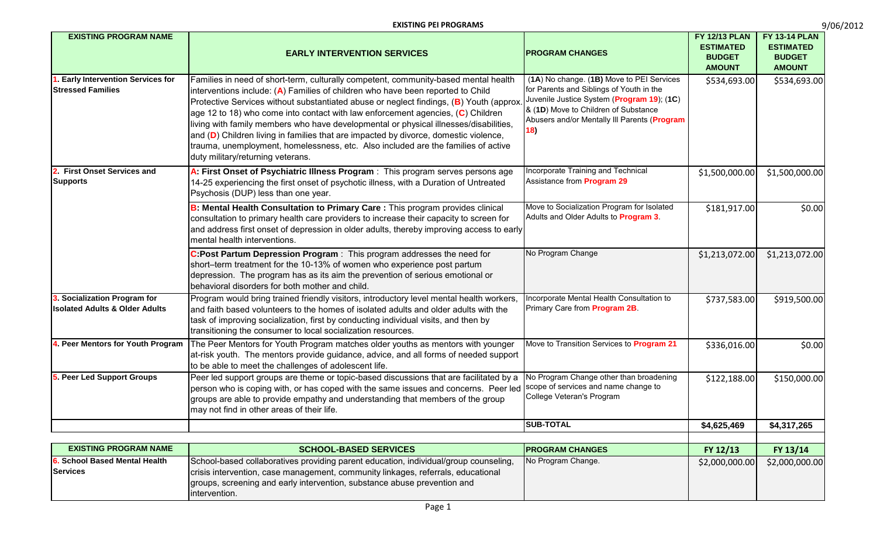| 9/06/2012 |  |
|-----------|--|
|           |  |

| <b>EXISTING PROGRAM NAME</b>                                              | <b>EARLY INTERVENTION SERVICES</b>                                                                                                                                                                                                                                                                                                                                                                                                                                                                                                                                                                                                                               | <b>PROGRAM CHANGES</b>                                                                                                                                                                                                             | <b>FY 12/13 PLAN</b><br><b>ESTIMATED</b><br><b>BUDGET</b><br><b>AMOUNT</b> | <b>FY 13-14 PLAN</b><br><b>ESTIMATED</b><br><b>BUDGET</b><br><b>AMOUNT</b> |
|---------------------------------------------------------------------------|------------------------------------------------------------------------------------------------------------------------------------------------------------------------------------------------------------------------------------------------------------------------------------------------------------------------------------------------------------------------------------------------------------------------------------------------------------------------------------------------------------------------------------------------------------------------------------------------------------------------------------------------------------------|------------------------------------------------------------------------------------------------------------------------------------------------------------------------------------------------------------------------------------|----------------------------------------------------------------------------|----------------------------------------------------------------------------|
| <b>Early Intervention Services for</b><br><b>Stressed Families</b>        | Families in need of short-term, culturally competent, community-based mental health<br>interventions include: (A) Families of children who have been reported to Child<br>Protective Services without substantiated abuse or neglect findings, (B) Youth (approx<br>age 12 to 18) who come into contact with law enforcement agencies, $(C)$ Children<br>living with family members who have developmental or physical illnesses/disabilities,<br>and (D) Children living in families that are impacted by divorce, domestic violence,<br>trauma, unemployment, homelessness, etc. Also included are the families of active<br>duty military/returning veterans. | (1A) No change. (1B) Move to PEI Services<br>for Parents and Siblings of Youth in the<br>Juvenile Justice System (Program 19); (1C)<br>& (1D) Move to Children of Substance<br>Abusers and/or Mentally III Parents (Program<br>18) | \$534,693.00                                                               | \$534,693.00                                                               |
| 2. First Onset Services and<br><b>Supports</b>                            | A: First Onset of Psychiatric Illness Program: This program serves persons age<br>14-25 experiencing the first onset of psychotic illness, with a Duration of Untreated<br>Psychosis (DUP) less than one year.                                                                                                                                                                                                                                                                                                                                                                                                                                                   | <b>Incorporate Training and Technical</b><br>Assistance from <b>Program 29</b>                                                                                                                                                     | \$1,500,000.00                                                             | \$1,500,000.00                                                             |
|                                                                           | B: Mental Health Consultation to Primary Care : This program provides clinical<br>consultation to primary health care providers to increase their capacity to screen for<br>and address first onset of depression in older adults, thereby improving access to early<br>mental health interventions.                                                                                                                                                                                                                                                                                                                                                             | Move to Socialization Program for Isolated<br>Adults and Older Adults to <b>Program 3</b> .                                                                                                                                        | \$181,917.00                                                               | \$0.00                                                                     |
|                                                                           | C:Post Partum Depression Program: This program addresses the need for<br>short-term treatment for the 10-13% of women who experience post partum<br>depression. The program has as its aim the prevention of serious emotional or<br>behavioral disorders for both mother and child.                                                                                                                                                                                                                                                                                                                                                                             | No Program Change                                                                                                                                                                                                                  | \$1,213,072.00                                                             | \$1,213,072.00                                                             |
| 3. Socialization Program for<br><b>Isolated Adults &amp; Older Adults</b> | Program would bring trained friendly visitors, introductory level mental health workers,<br>and faith based volunteers to the homes of isolated adults and older adults with the<br>task of improving socialization, first by conducting individual visits, and then by<br>transitioning the consumer to local socialization resources.                                                                                                                                                                                                                                                                                                                          | Incorporate Mental Health Consultation to<br>Primary Care from <b>Program 2B</b> .                                                                                                                                                 | \$737,583.00                                                               | \$919,500.00                                                               |
| 4. Peer Mentors for Youth Program                                         | The Peer Mentors for Youth Program matches older youths as mentors with younger<br>at-risk youth. The mentors provide guidance, advice, and all forms of needed support<br>to be able to meet the challenges of adolescent life.                                                                                                                                                                                                                                                                                                                                                                                                                                 | Move to Transition Services to <b>Program 21</b>                                                                                                                                                                                   | \$336,016.00                                                               | \$0.00                                                                     |
| 5. Peer Led Support Groups                                                | Peer led support groups are theme or topic-based discussions that are facilitated by a<br>person who is coping with, or has coped with the same issues and concerns. Peer led Scope of services and name change to<br>groups are able to provide empathy and understanding that members of the group<br>may not find in other areas of their life.                                                                                                                                                                                                                                                                                                               | No Program Change other than broadening<br>College Veteran's Program                                                                                                                                                               | \$122,188.00                                                               | \$150,000.00                                                               |
|                                                                           |                                                                                                                                                                                                                                                                                                                                                                                                                                                                                                                                                                                                                                                                  | <b>SUB-TOTAL</b>                                                                                                                                                                                                                   | \$4,625,469                                                                | \$4,317,265                                                                |
| <b>EXISTING PROGRAM NAME</b>                                              | <b>SCHOOL-BASED SERVICES</b>                                                                                                                                                                                                                                                                                                                                                                                                                                                                                                                                                                                                                                     | <b>PROGRAM CHANGES</b>                                                                                                                                                                                                             | FY 12/13                                                                   | FY 13/14                                                                   |
| 6. School Based Mental Health<br><b>Services</b>                          | School-based collaboratives providing parent education, individual/group counseling,<br>crisis intervention, case management, community linkages, referrals, educational<br>groups, screening and early intervention, substance abuse prevention and<br>intervention.                                                                                                                                                                                                                                                                                                                                                                                            | No Program Change.                                                                                                                                                                                                                 | \$2,000,000.00                                                             | \$2,000,000.00                                                             |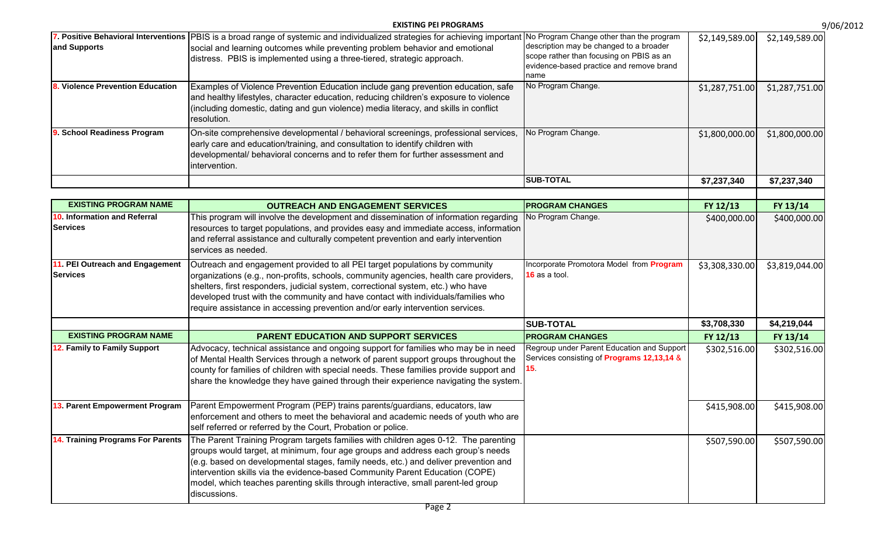|                                                              | <b>EXISTING PEI PROGRAMS</b>                                                                                                                                                                                                                                                                                                                                                                                                                       |                                                                                                                                                                                     |                | 9/06/2012      |
|--------------------------------------------------------------|----------------------------------------------------------------------------------------------------------------------------------------------------------------------------------------------------------------------------------------------------------------------------------------------------------------------------------------------------------------------------------------------------------------------------------------------------|-------------------------------------------------------------------------------------------------------------------------------------------------------------------------------------|----------------|----------------|
| and Supports                                                 | 7. Positive Behavioral Interventions  PBIS is a broad range of systemic and individualized strategies for achieving importan<br>social and learning outcomes while preventing problem behavior and emotional<br>distress. PBIS is implemented using a three-tiered, strategic approach.                                                                                                                                                            | No Program Change other than the program<br>description may be changed to a broader<br>scope rather than focusing on PBIS as an<br>evidence-based practice and remove brand<br>name | \$2,149,589.00 | \$2,149,589.00 |
| Violence Prevention Education                                | Examples of Violence Prevention Education include gang prevention education, safe<br>and healthy lifestyles, character education, reducing children's exposure to violence<br>(including domestic, dating and gun violence) media literacy, and skills in conflict<br>resolution.                                                                                                                                                                  | No Program Change.                                                                                                                                                                  | \$1,287,751.00 | \$1,287,751.00 |
| 9. School Readiness Program                                  | On-site comprehensive developmental / behavioral screenings, professional services,<br>early care and education/training, and consultation to identify children with<br>developmental/ behavioral concerns and to refer them for further assessment and<br>intervention.                                                                                                                                                                           | No Program Change.                                                                                                                                                                  | \$1,800,000.00 | \$1,800,000.00 |
|                                                              |                                                                                                                                                                                                                                                                                                                                                                                                                                                    | <b>SUB-TOTAL</b>                                                                                                                                                                    | \$7,237,340    | \$7,237,340    |
|                                                              |                                                                                                                                                                                                                                                                                                                                                                                                                                                    |                                                                                                                                                                                     |                |                |
| <b>EXISTING PROGRAM NAME</b><br>10. Information and Referral | <b>OUTREACH AND ENGAGEMENT SERVICES</b><br>This program will involve the development and dissemination of information regarding                                                                                                                                                                                                                                                                                                                    | <b>PROGRAM CHANGES</b><br>No Program Change.                                                                                                                                        | FY 12/13       | FY 13/14       |
| <b>Services</b>                                              | resources to target populations, and provides easy and immediate access, information<br>and referral assistance and culturally competent prevention and early intervention<br>services as needed.                                                                                                                                                                                                                                                  |                                                                                                                                                                                     | \$400,000.00   | \$400,000.00   |
| 11. PEI Outreach and Engagement<br><b>Services</b>           | Outreach and engagement provided to all PEI target populations by community<br>organizations (e.g., non-profits, schools, community agencies, health care providers,<br>shelters, first responders, judicial system, correctional system, etc.) who have<br>developed trust with the community and have contact with individuals/families who<br>require assistance in accessing prevention and/or early intervention services.                    | Incorporate Promotora Model from Program<br>16 as a tool.                                                                                                                           | \$3,308,330.00 | \$3,819,044.00 |
|                                                              |                                                                                                                                                                                                                                                                                                                                                                                                                                                    | <b>SUB-TOTAL</b>                                                                                                                                                                    | \$3,708,330    | \$4,219,044    |
| <b>EXISTING PROGRAM NAME</b>                                 | <b>PARENT EDUCATION AND SUPPORT SERVICES</b>                                                                                                                                                                                                                                                                                                                                                                                                       | <b>PROGRAM CHANGES</b>                                                                                                                                                              | FY 12/13       | FY 13/14       |
| 12. Family to Family Support                                 | Advocacy, technical assistance and ongoing support for families who may be in need<br>of Mental Health Services through a network of parent support groups throughout the<br>county for families of children with special needs. These families provide support and<br>share the knowledge they have gained through their experience navigating the system.                                                                                        | Regroup under Parent Education and Support<br>Services consisting of Programs 12,13,14 &<br>15 <sub>1</sub>                                                                         | \$302,516.00   | \$302,516.00   |
| 13. Parent Empowerment Program                               | Parent Empowerment Program (PEP) trains parents/guardians, educators, law<br>enforcement and others to meet the behavioral and academic needs of youth who are<br>self referred or referred by the Court, Probation or police.                                                                                                                                                                                                                     |                                                                                                                                                                                     | \$415,908.00   | \$415,908.00   |
| 14. Training Programs For Parents                            | The Parent Training Program targets families with children ages 0-12. The parenting<br>groups would target, at minimum, four age groups and address each group's needs<br>(e.g. based on developmental stages, family needs, etc.) and deliver prevention and<br>intervention skills via the evidence-based Community Parent Education (COPE)<br>model, which teaches parenting skills through interactive, small parent-led group<br>discussions. |                                                                                                                                                                                     | \$507,590.00   | \$507,590.00   |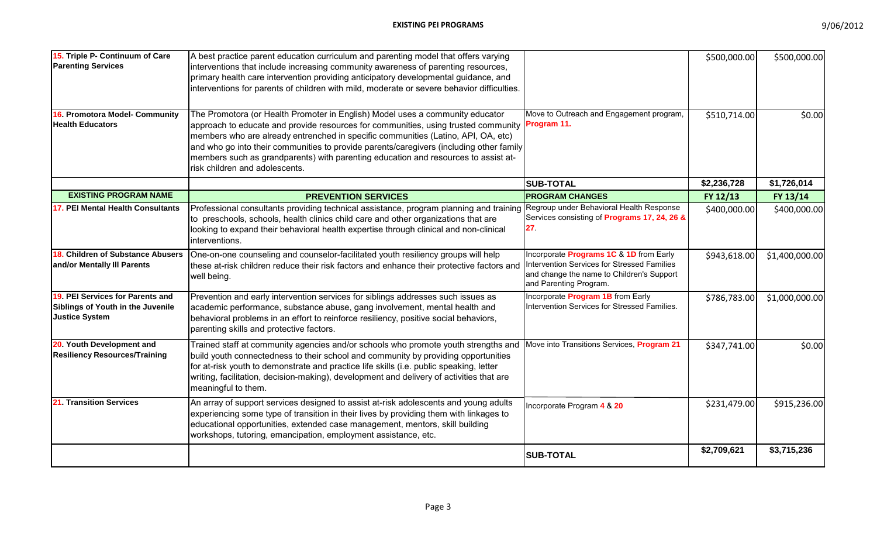| 15. Triple P- Continuum of Care<br><b>Parenting Services</b>                                   | A best practice parent education curriculum and parenting model that offers varying<br>interventions that include increasing community awareness of parenting resources,<br>primary health care intervention providing anticipatory developmental guidance, and<br>interventions for parents of children with mild, moderate or severe behavior difficulties.                                                                                                                           |                                                                                                                                                               | \$500,000.00 | \$500,000.00   |
|------------------------------------------------------------------------------------------------|-----------------------------------------------------------------------------------------------------------------------------------------------------------------------------------------------------------------------------------------------------------------------------------------------------------------------------------------------------------------------------------------------------------------------------------------------------------------------------------------|---------------------------------------------------------------------------------------------------------------------------------------------------------------|--------------|----------------|
| 16. Promotora Model- Community<br><b>Health Educators</b>                                      | The Promotora (or Health Promoter in English) Model uses a community educator<br>approach to educate and provide resources for communities, using trusted community Program 11.<br>members who are already entrenched in specific communities (Latino, API, OA, etc)<br>and who go into their communities to provide parents/caregivers (including other family<br>members such as grandparents) with parenting education and resources to assist at-<br>risk children and adolescents. | Move to Outreach and Engagement program,                                                                                                                      | \$510,714.00 | \$0.00         |
|                                                                                                |                                                                                                                                                                                                                                                                                                                                                                                                                                                                                         | <b>SUB-TOTAL</b>                                                                                                                                              | \$2,236,728  | \$1,726,014    |
| <b>EXISTING PROGRAM NAME</b>                                                                   | <b>PREVENTION SERVICES</b>                                                                                                                                                                                                                                                                                                                                                                                                                                                              | <b>PROGRAM CHANGES</b>                                                                                                                                        | FY 12/13     | FY 13/14       |
| 17. PEI Mental Health Consultants                                                              | Professional consultants providing technical assistance, program planning and training Regroup under Behavioral Health Response<br>to preschools, schools, health clinics child care and other organizations that are<br>looking to expand their behavioral health expertise through clinical and non-clinical<br>interventions.                                                                                                                                                        | Services consisting of Programs 17, 24, 26 &<br>27 <sub>1</sub>                                                                                               | \$400,000.00 | \$400,000.00   |
| 18. Children of Substance Abusers<br>and/or Mentally III Parents                               | One-on-one counseling and counselor-facilitated youth resiliency groups will help<br>these at-risk children reduce their risk factors and enhance their protective factors and<br>well being.                                                                                                                                                                                                                                                                                           | Incorporate Programs 1C & 1D from Early<br>Intervention Services for Stressed Families<br>and change the name to Children's Support<br>and Parenting Program. | \$943,618.00 | \$1,400,000.00 |
| 19. PEI Services for Parents and<br>Siblings of Youth in the Juvenile<br><b>Justice System</b> | Prevention and early intervention services for siblings addresses such issues as<br>academic performance, substance abuse, gang involvement, mental health and<br>behavioral problems in an effort to reinforce resiliency, positive social behaviors,<br>parenting skills and protective factors.                                                                                                                                                                                      | Incorporate Program 1B from Early<br>Intervention Services for Stressed Families.                                                                             | \$786,783.00 | \$1,000,000.00 |
| 20. Youth Development and<br><b>Resiliency Resources/Training</b>                              | Trained staff at community agencies and/or schools who promote youth strengths and<br>build youth connectedness to their school and community by providing opportunities<br>for at-risk youth to demonstrate and practice life skills (i.e. public speaking, letter<br>writing, facilitation, decision-making), development and delivery of activities that are<br>meaningful to them.                                                                                                  | Move into Transitions Services, Program 21                                                                                                                    | \$347,741.00 | \$0.00         |
| 21. Transition Services                                                                        | An array of support services designed to assist at-risk adolescents and young adults<br>experiencing some type of transition in their lives by providing them with linkages to<br>educational opportunities, extended case management, mentors, skill building<br>workshops, tutoring, emancipation, employment assistance, etc.                                                                                                                                                        | Incorporate Program 4 & 20                                                                                                                                    | \$231,479.00 | \$915,236.00   |
|                                                                                                |                                                                                                                                                                                                                                                                                                                                                                                                                                                                                         | <b>SUB-TOTAL</b>                                                                                                                                              | \$2,709,621  | \$3,715,236    |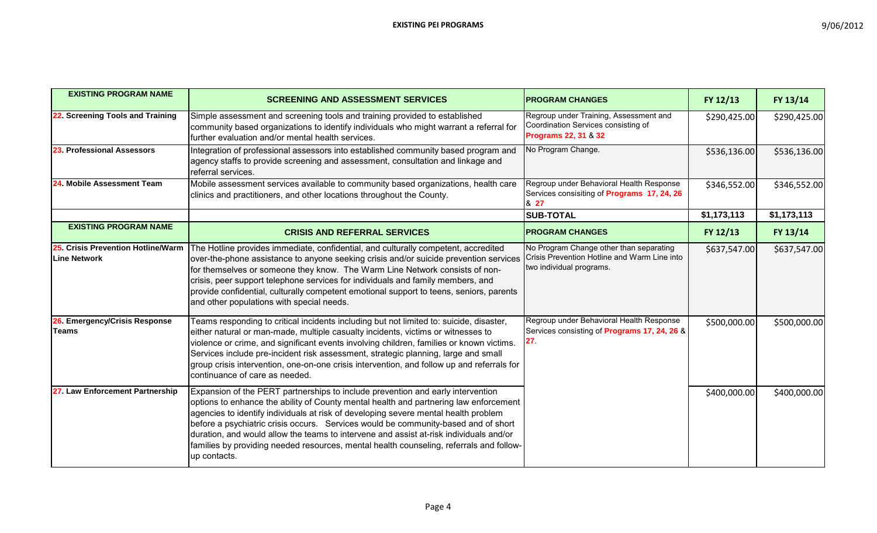| <b>EXISTING PROGRAM NAME</b>                       | <b>SCREENING AND ASSESSMENT SERVICES</b>                                                                                                                                                                                                                                                                                                                                                                                                                                                                                                                   | <b>IPROGRAM CHANGES</b>                                                                                                | FY 12/13     | FY 13/14     |
|----------------------------------------------------|------------------------------------------------------------------------------------------------------------------------------------------------------------------------------------------------------------------------------------------------------------------------------------------------------------------------------------------------------------------------------------------------------------------------------------------------------------------------------------------------------------------------------------------------------------|------------------------------------------------------------------------------------------------------------------------|--------------|--------------|
| 22. Screening Tools and Training                   | Simple assessment and screening tools and training provided to established<br>community based organizations to identify individuals who might warrant a referral for<br>further evaluation and/or mental health services.                                                                                                                                                                                                                                                                                                                                  | Regroup under Training, Assessment and<br>Coordination Services consisting of<br><b>Programs 22, 31 &amp; 32</b>       | \$290,425.00 | \$290,425.00 |
| 23. Professional Assessors                         | Integration of professional assessors into established community based program and<br>agency staffs to provide screening and assessment, consultation and linkage and<br>referral services.                                                                                                                                                                                                                                                                                                                                                                | No Program Change.                                                                                                     | \$536,136.00 | \$536,136.00 |
| 24. Mobile Assessment Team                         | Mobile assessment services available to community based organizations, health care<br>clinics and practitioners, and other locations throughout the County.                                                                                                                                                                                                                                                                                                                                                                                                | Regroup under Behavioral Health Response<br>Services consisiting of <b>Programs 17, 24, 26</b><br>& 27                 | \$346,552.00 | \$346,552.00 |
|                                                    |                                                                                                                                                                                                                                                                                                                                                                                                                                                                                                                                                            | <b>SUB-TOTAL</b>                                                                                                       | \$1,173,113  | \$1,173,113  |
| <b>EXISTING PROGRAM NAME</b>                       | <b>CRISIS AND REFERRAL SERVICES</b>                                                                                                                                                                                                                                                                                                                                                                                                                                                                                                                        | <b>PROGRAM CHANGES</b>                                                                                                 | FY 12/13     | FY 13/14     |
| 25. Crisis Prevention Hotline/Warm<br>Line Network | The Hotline provides immediate, confidential, and culturally competent, accredited<br>over-the-phone assistance to anyone seeking crisis and/or suicide prevention services<br>for themselves or someone they know. The Warm Line Network consists of non-<br>crisis, peer support telephone services for individuals and family members, and<br>provide confidential, culturally competent emotional support to teens, seniors, parents<br>and other populations with special needs.                                                                      | No Program Change other than separating<br>Crisis Prevention Hotline and Warm Line into<br>two individual programs.    | \$637,547.00 | \$637,547.00 |
| 26. Emergency/Crisis Response<br><b>Teams</b>      | Teams responding to critical incidents including but not limited to: suicide, disaster,<br>either natural or man-made, multiple casualty incidents, victims or witnesses to<br>violence or crime, and significant events involving children, families or known victims.<br>Services include pre-incident risk assessment, strategic planning, large and small<br>group crisis intervention, one-on-one crisis intervention, and follow up and referrals for<br>continuance of care as needed.                                                              | Regroup under Behavioral Health Response<br>Services consisting of <b>Programs 17, 24, 26 &amp;</b><br>27 <sub>1</sub> | \$500,000.00 | \$500,000.00 |
| 27. Law Enforcement Partnership                    | Expansion of the PERT partnerships to include prevention and early intervention<br>options to enhance the ability of County mental health and partnering law enforcement<br>agencies to identify individuals at risk of developing severe mental health problem<br>before a psychiatric crisis occurs. Services would be community-based and of short<br>duration, and would allow the teams to intervene and assist at-risk individuals and/or<br>families by providing needed resources, mental health counseling, referrals and follow-<br>up contacts. |                                                                                                                        | \$400,000.00 | \$400,000.00 |